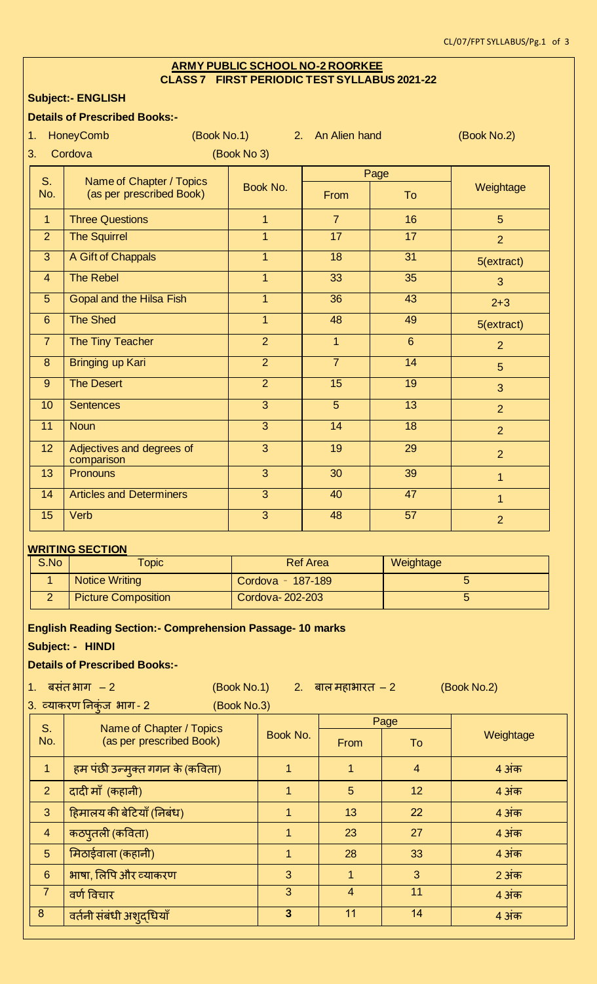#### **ARMY PUBLIC SCHOOL NO-2 ROORKEE CLASS 7 FIRST PERIODIC TEST SYLLABUS 2021-22**

#### **Subject:- ENGLISH**

#### **Details of Prescribed Books:-**

| 1.                           | <b>HoneyComb</b><br>(Book No.1)         |                | 2. An Alien hand |                | (Book No.2)    |  |  |
|------------------------------|-----------------------------------------|----------------|------------------|----------------|----------------|--|--|
| Cordova<br>(Book No 3)<br>3. |                                         |                |                  |                |                |  |  |
| S.                           | Name of Chapter / Topics                | Book No.       |                  | Page           | Weightage      |  |  |
| No.                          | (as per prescribed Book)                |                | From             | To             |                |  |  |
| $\overline{1}$               | <b>Three Questions</b>                  | $\overline{1}$ | $\overline{7}$   | 16             | 5 <sup>5</sup> |  |  |
| $\overline{2}$               | <b>The Squirrel</b>                     | $\overline{1}$ | 17               | 17             | $\overline{2}$ |  |  |
| $\overline{3}$               | A Gift of Chappals                      | $\overline{1}$ | $\overline{18}$  | 31             | 5(extract)     |  |  |
| $\overline{4}$               | <b>The Rebel</b>                        | $\overline{1}$ | 33               | 35             | 3              |  |  |
| 5                            | <b>Gopal and the Hilsa Fish</b>         | $\overline{1}$ | $\overline{36}$  | 43             | $2 + 3$        |  |  |
| $6\phantom{1}$               | <b>The Shed</b>                         | $\mathbf{1}$   | 48               | 49             | 5(extract)     |  |  |
| $\overline{7}$               | The Tiny Teacher                        | $\overline{2}$ | $\overline{1}$   | $6\phantom{1}$ | $\overline{2}$ |  |  |
| 8                            | <b>Bringing up Kari</b>                 | $\overline{2}$ | $\overline{7}$   | 14             | 5              |  |  |
| 9                            | <b>The Desert</b>                       | $\overline{2}$ | $\overline{15}$  | 19             | 3              |  |  |
| 10                           | <b>Sentences</b>                        | $\overline{3}$ | $\overline{5}$   | 13             | $\overline{2}$ |  |  |
| 11                           | <b>Noun</b>                             | $\overline{3}$ | 14               | 18             | $\overline{2}$ |  |  |
| 12                           | Adjectives and degrees of<br>comparison | $\overline{3}$ | 19               | 29             | $\overline{2}$ |  |  |
| 13                           | Pronouns                                | $\overline{3}$ | 30               | 39             | $\mathbf{1}$   |  |  |
| 14                           | <b>Articles and Determiners</b>         | $\overline{3}$ | 40               | 47             | $\mathbf{1}$   |  |  |
| 15                           | Verb                                    | $\overline{3}$ | 48               | 57             | $\overline{2}$ |  |  |
|                              |                                         |                |                  |                |                |  |  |

#### **WRITING SECTION**

| S.No | <b>Opic</b>                | Ref Area          | Weightage |
|------|----------------------------|-------------------|-----------|
|      | <b>Notice Writing</b>      | Cordova - 187-189 |           |
|      | <b>Picture Composition</b> | Cordova-202-203   |           |

#### **English Reading Section:- Comprehension Passage- 10 marks**

#### **Subject: - HINDI**

#### **Details of Prescribed Books:-**

| 1 <sup>1</sup>                        | बसंत भाग $-2$                   |                | (Book No.1) 2. बाल महाभारत $-2$<br>(Book No.2) |                |              |  |
|---------------------------------------|---------------------------------|----------------|------------------------------------------------|----------------|--------------|--|
| 3. व्याकरण निकंज भाग-2<br>(Book No.3) |                                 |                |                                                |                |              |  |
| S <sub>r</sub>                        | Name of Chapter / Topics        |                | Page                                           |                |              |  |
| No.                                   | (as per prescribed Book)        | Book No.       | <b>From</b>                                    | To             | Weightage    |  |
| $\mathbf{1}$                          | हम पंछी उन्मुक्त गगन के (कविता) | 1              | 1                                              | $\overline{4}$ | 4 अंक        |  |
| $\overline{2}$                        | दादी माँ (कहानी)                | 1              | 5                                              | 12             | 4 अंक        |  |
| 3                                     | हिमालय की बेटियाँ (निबंध)       | 1              | 13                                             | 22             | 4 अंक        |  |
| $\overline{4}$                        | कठपुतली (कविता)                 | 1              | 23                                             | 27             | 4 अंक        |  |
| 5                                     | मिठाईवाला (कहानी)               | 1              | 28                                             | 33             | 4 अंक        |  |
| 6                                     | भाषा, लिपि और व्याकरण           | 3              | 1                                              | 3              | <b>2</b> अंक |  |
| $\overline{7}$                        | वर्ण विचार                      | 3              | $\overline{4}$                                 | 11             | 4 अंक        |  |
| $\boldsymbol{8}$                      | वर्तनी संबंधी अशुद्धियाँ        | $\overline{3}$ | 11                                             | 14             | 4 अंक        |  |
|                                       |                                 |                |                                                |                |              |  |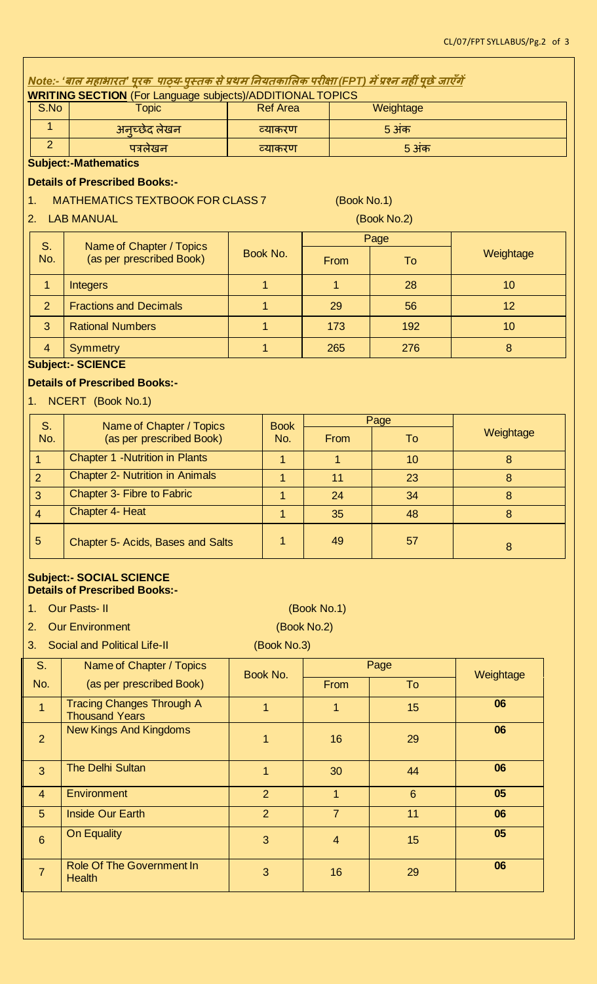| <u> Note:- 'बाल महाभारत' पूरक  पाठ्य-पुस्तक से प्रथम नियतकालिक परीक्षा (FPT) में प्रश्न नहीं पूछे जाएँगें</u>       |                                                                  |                 |                    |                |             |                  |  |  |
|---------------------------------------------------------------------------------------------------------------------|------------------------------------------------------------------|-----------------|--------------------|----------------|-------------|------------------|--|--|
|                                                                                                                     | <b>WRITING SECTION</b> (For Language subjects)/ADDITIONAL TOPICS |                 |                    |                |             |                  |  |  |
| S.No                                                                                                                | <b>Topic</b>                                                     | <b>Ref Area</b> |                    |                | Weightage   |                  |  |  |
| $\overline{1}$                                                                                                      | अनृच्छेद लेखन                                                    | व्याकरण         |                    |                | 5 अंक       |                  |  |  |
| $\overline{2}$                                                                                                      | पत्रलेखन                                                         |                 | व्याकरण            |                | 5 अंक       |                  |  |  |
|                                                                                                                     | <b>Subject:-Mathematics</b>                                      |                 |                    |                |             |                  |  |  |
|                                                                                                                     | <b>Details of Prescribed Books:-</b>                             |                 |                    |                |             |                  |  |  |
| 1.                                                                                                                  | <b>MATHEMATICS TEXTBOOK FOR CLASS 7</b>                          |                 |                    | (Book No.1)    |             |                  |  |  |
| 2.                                                                                                                  | <b>LAB MANUAL</b>                                                |                 |                    |                | (Book No.2) |                  |  |  |
| S.                                                                                                                  |                                                                  |                 |                    |                | Page        |                  |  |  |
| No.                                                                                                                 | Name of Chapter / Topics<br>(as per prescribed Book)             |                 | Book No.           | From           | To          | Weightage        |  |  |
| $\mathbf{1}$                                                                                                        | Integers                                                         |                 | 1                  | $\mathbf{1}$   | 28          | 10               |  |  |
| $\overline{2}$                                                                                                      | <b>Fractions and Decimals</b>                                    | 1               |                    | 29             | 56          | 12               |  |  |
| 3                                                                                                                   | <b>Rational Numbers</b>                                          | 1               |                    | 173            | 192         | 10               |  |  |
| $\overline{4}$                                                                                                      | <b>Symmetry</b>                                                  | $\mathbf{1}$    |                    | 265            | 276         | 8                |  |  |
|                                                                                                                     | <b>Subject:- SCIENCE</b>                                         |                 |                    |                |             |                  |  |  |
|                                                                                                                     | <b>Details of Prescribed Books:-</b>                             |                 |                    |                |             |                  |  |  |
| 1.                                                                                                                  | NCERT (Book No.1)                                                |                 |                    |                |             |                  |  |  |
| S.                                                                                                                  | Name of Chapter / Topics<br>(as per prescribed Book)             |                 | <b>Book</b><br>No. | Page           |             |                  |  |  |
| No.                                                                                                                 |                                                                  |                 |                    | From           | To          | Weightage        |  |  |
| $\overline{1}$                                                                                                      | <b>Chapter 1 -Nutrition in Plants</b>                            |                 | $\mathbf{1}$       | $\overline{1}$ | 10          | 8                |  |  |
| $\overline{2}$                                                                                                      | <b>Chapter 2- Nutrition in Animals</b>                           |                 | $\overline{1}$     | 11             | 23          | $\boldsymbol{8}$ |  |  |
| 3                                                                                                                   | Chapter 3- Fibre to Fabric                                       |                 | 1                  | 24             | 34          | 8                |  |  |
| $\overline{4}$                                                                                                      | <b>Chapter 4- Heat</b>                                           |                 | $\mathbf{1}$       | 35             | 48          | $\boldsymbol{8}$ |  |  |
| $\sqrt{5}$                                                                                                          | Chapter 5- Acids, Bases and Salts                                | $\mathbf{1}$    |                    | 49             | 57          | 8                |  |  |
| <b>Subject:- SOCIAL SCIENCE</b><br><b>Details of Prescribed Books:-</b><br>(Book No.1)<br><b>Our Pasts-II</b><br>1. |                                                                  |                 |                    |                |             |                  |  |  |

3. Social and Political Life-II (Book No.3)

### 2. Our Environment (Book No.2)

S. No. Name of Chapter / Topics (as per prescribed Book) Book No. Page Weightage From To 1 Tracing Changes Through A Thousand Years 1 **1** 1 15 **06** 2 New Kings And Kingdoms 1 16 29 **06** 3 The Delhi Sultan **1** 1 30 44 **06** 4 Environment 2 1 6 **05** 5 Inside Our Earth 2 7 11 **06** 6 On Equality <sup>3</sup> <sup>4</sup> <sup>15</sup> **<sup>05</sup>** 7 Role Of The Government In 3 16 29 <mark> 06</mark><br>Health